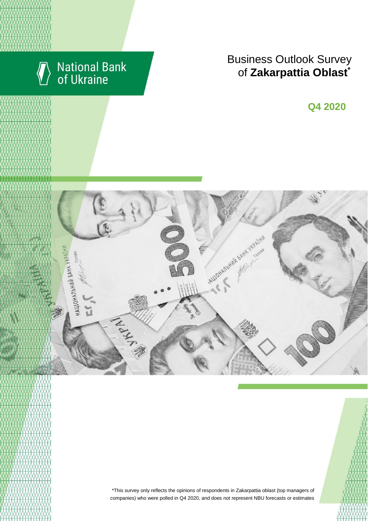

# National Bank<br>of Ukraine

## Business Outlook Survey  $\bullet$  **f** Zakarpattia Oblast<sup>\*</sup>

**Q2 2018 Q4 2020**



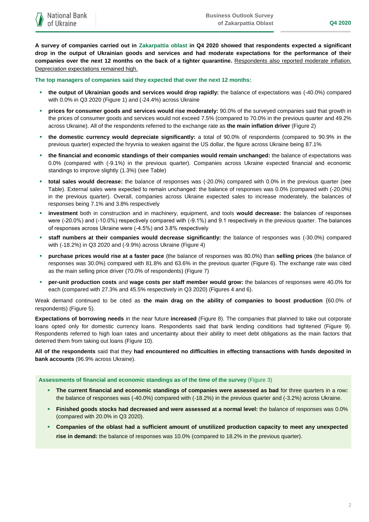**A survey of companies carried out in Zakarpattia oblast in Q4 2020 showed that respondents expected a significant drop in the output of Ukrainian goods and services and had moderate expectations for the performance of their companies over the next 12 months on the back of a tighter quarantine.** Respondents also reported moderate inflation. Depreciation expectations remained high.

**The top managers of companies said they expected that over the next 12 months:**

- **the output of Ukrainian goods and services would drop rapidly:** the balance of expectations was (-40.0%) compared with 0.0% in Q3 2020 (Figure 1) and (-24.4%) across Ukraine
- **prices for consumer goods and services would rise moderately:** 90.0% of the surveyed companies said that growth in the prices of consumer goods and services would not exceed 7.5% (compared to 70.0% in the previous quarter and 49.2% across Ukraine). All of the respondents referred to the exchange rate as **the main inflation driver** (Figure 2)
- **the domestic currency would depreciate significantly:** a total of 90.0% of respondents (compared to 90.9% in the previous quarter) expected the hryvnia to weaken against the US dollar, the figure across Ukraine being 87.1%
- **the financial and economic standings of their companies would remain unchanged:** the balance of expectations was 0.0% (compared with (-9.1%) in the previous quarter). Companies across Ukraine expected financial and economic standings to improve slightly (1.3%) (see Table)
- **total sales would decrease:** the balance of responses was (-20.0%) compared with 0.0% in the previous quarter (see Table). External sales were expected to remain unchanged: the balance of responses was 0.0% (compared with (-20.0%) in the previous quarter). Overall, companies across Ukraine expected sales to increase moderately, the balances of responses being 7.1% and 3.8% respectively
- **investment** both in construction and in machinery, equipment, and tools **would decrease:** the balances of responses were (-20.0%) and (-10.0%) respectively compared with (-9.1%) and 9.1 respectively in the previous quarter. The balances of responses across Ukraine were (-4.5%) and 3.8% respectively
- **staff numbers at their companies would decrease significantly:** the balance of responses was (-30.0%) compared with (-18.2%) in Q3 2020 and (-9.9%) across Ukraine (Figure 4)
- **purchase prices would rise at a faster pace** (the balance of responses was 80.0%) than **selling prices** (the balance of responses was 30.0%) compared with 81.8% and 63.6% in the previous quarter (Figure 6). The exchange rate was cited as the main selling price driver (70.0% of respondents) (Figure 7)
- **per-unit production costs** and **wage costs per staff member would grow:** the balances of responses were 40.0% for each (compared with 27.3% and 45.5% respectively in Q3 2020) (Figures 4 and 6).

Weak demand continued to be cited as **the main drag on the ability of companies to boost production** (60.0% of respondents) (Figure 5).

**Expectations of borrowing needs** in the near future **increased** (Figure 8). The companies that planned to take out corporate loans opted only for domestic currency loans. Respondents said that bank lending conditions had tightened (Figure 9). Respondents referred to high loan rates and uncertainty about their ability to meet debt obligations as the main factors that deterred them from taking out loans (Figure 10).

**All of the respondents** said that they **had encountered no difficulties in effecting transactions with funds deposited in bank accounts** (96.9% across Ukraine).

**Assessments of financial and economic standings as of the time of the survey** (Figure 3)

- **The current financial and economic standings of companies were assessed as bad** for three quarters in a row**:**  the balance of responses was (-40.0%) compared with (-18.2%) in the previous quarter and (-3.2%) across Ukraine.
- **Finished goods stocks had decreased and were assessed at a normal level:** the balance of responses was 0.0% (compared with 20.0% in Q3 2020).
- **Companies of the oblast had a sufficient amount of unutilized production capacity to meet any unexpected rise in demand:** the balance of responses was 10.0% (compared to 18.2% in the previous quarter).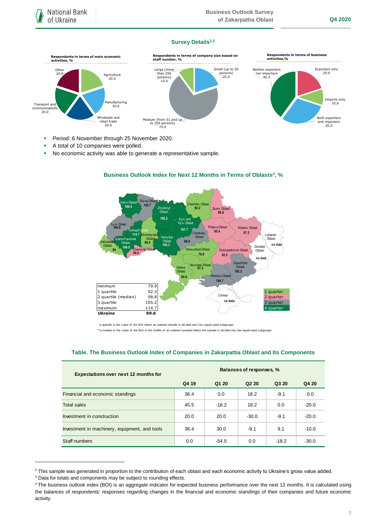## **Survey Details1,2**



- **Period: 6 November through 25 November 2020.**
- A total of 10 companies were polled.
- No economic activity was able to generate a representative sample.



## **Business Outlook Index for Next 12 Months in Terms of Oblasts<sup>3</sup>, %**

 \*a quartile is the v alue of the BOI where an ordered sample is div ided into f our equal-sized subgroups \*\*a median is the v alue of the BOI in the middle of an ordered sampled where the sample is divided into two equal-sized subgroups

## **Table. The Business Outlook Index of Companies in Zakarpattia Oblast and Its Components**

| <b>Expectations over next 12 months for</b>   | Balances of responses, % |         |                               |         |         |
|-----------------------------------------------|--------------------------|---------|-------------------------------|---------|---------|
|                                               | Q4 19                    | Q1 20   | Q <sub>2</sub> 2 <sub>0</sub> | Q3 20   | Q4 20   |
| Financial and economic standings              | 36.4                     | 0.0     | 18.2                          | $-9.1$  | 0.0     |
| <b>Total sales</b>                            | 45.5                     | $-18.2$ | 18.2                          | 0.0     | $-20.0$ |
| Investment in construction                    | 20.0                     | 20.0    | $-30.0$                       | $-9.1$  | $-20.0$ |
| Investment in machinery, equipment, and tools | 36.4                     | 30.0    | $-9.1$                        | 9.1     | $-10.0$ |
| Staff numbers                                 | 0.0                      | $-54.5$ | 0.0                           | $-18.2$ | $-30.0$ |

<sup>&</sup>lt;sup>2</sup> This sample was generated in proportion to the contribution of each oblast and each economic activity to Ukraine's gross value added.

1

<sup>&</sup>lt;sup>3</sup> Data for totals and components may be subject to rounding effects.

<sup>4</sup> The business outlook index (BOI) is an aggregate indicator for expected business performance over the next 12 months. It is calculated using the balances of respondents' responses regarding changes in the financial and economic standings of their companies and future economic activity.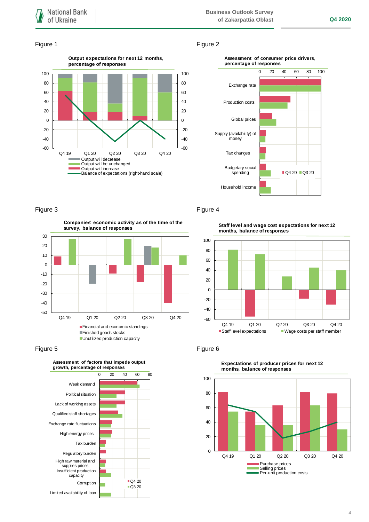## **Business Outlook Survey of Zakarpattia Oblast Q4 2020**

### Figure 1 Figure 2







-50 -40 -30 -20 -10 0 10 20 30 Q4 19 Q1 20 Q2 20 Q3 20 Q4 20 **Companies' economic activity as of the time of the survey, balance of responses** Financial and economic standings Finished goods stocks **Unutilized production capacity** 





## Figure 3 Figure 4

**Staff level and wage cost expectations for next 12 months, balance of responses**





**Expectations of producer prices for next 12 months, balance of responses**